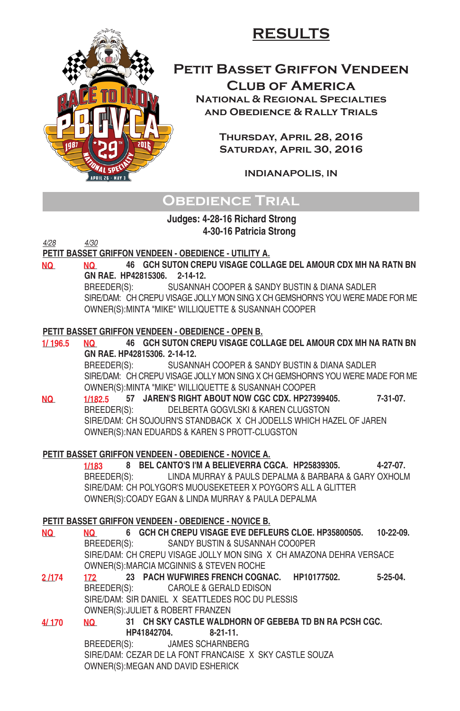

# **RESULTS**

### **Petit Basset Griffon Vendeen**

**Club of America National & Regional Specialties and Obedience & Rally Trials**

> **Thursday, April 28, 2016 Saturday, April 30, 2016**

> > **INDIANAPOLIS, IN**

## **Obedience Trial**

### **Judges: 4-28-16 Richard Strong 4-30-16 Patricia Strong**

*4/28 4/30*

### **PETIT BASSET GRIFFON VENDEEN - OBEDIENCE - UTILITY A.**

**\_\_\_ \_\_\_ 46 GCH SUTON CREPU VISAGE COLLAGE DEL AMOUR CDX MH NA RATN BN GN RAE. HP42815306. 2-14-12.** BREEDER(S): SUSANNAH COOPER & SANDY BUSTIN & DIANA SADLER **NQ NQ**

SIRE/DAM: CH CREPU VISAGE JOLLY MON SING X CH GEMSHORN'S YOU WERE MADE FOR ME OWNER(S):MINTA "MIKE" WILLIQUETTE & SUSANNAH COOPER

### **PETIT BASSET GRIFFON VENDEEN - OBEDIENCE - OPEN B.**

**\_\_\_ \_\_\_ 46 GCH SUTON CREPU VISAGE COLLAGE DEL AMOUR CDX MH NA RATN BN GN RAE. HP42815306. 2-14-12.** BREEDER(S): SUSANNAH COOPER & SANDY BUSTIN & DIANA SADLER SIRE/DAM: CH CREPU VISAGE JOLLY MON SING X CH GEMSHORN'S YOU WERE MADE FOR ME OWNER(S):MINTA "MIKE" WILLIQUETTE & SUSANNAH COOPER **\_\_\_ \_\_\_ 57 JAREN'S RIGHT ABOUT NOW CGC CDX. HP27399405. 7-31-07.** BREEDER(S): DELBERTA GOGVLSKI & KAREN CLUGSTON SIRE/DAM: CH SOJOURN'S STANDBACK X CH JODELLS WHICH HAZEL OF JAREN OWNER(S):NAN EDUARDS & KAREN S PROTT-CLUGSTON **1/ 196.5 NQ NQ 1/182.5**

### **PETIT BASSET GRIFFON VENDEEN - OBEDIENCE - NOVICE A.**

**\_\_\_ 8 BEL CANTO'S I'M A BELIEVERRA CGCA. HP25839305. 4-27-07.** BREEDER(S): LINDA MURRAY & PAULS DEPALMA & BARBARA & GARY OXHOLM SIRE/DAM: CH POLYGOR'S MUOUSEKETEER X POYGOR'S ALL A GLITTER OWNER(S):COADY EGAN & LINDA MURRAY & PAULA DEPALMA **1/183**

### **PETIT BASSET GRIFFON VENDEEN - OBEDIENCE - NOVICE B.**

**\_\_\_ \_\_\_ 6 GCH CH CREPU VISAGE EVE DEFLEURS CLOE. HP35800505. 10-22-09.** BREEDER(S): SANDY BUSTIN & SUSANNAH COO0PER SIRE/DAM: CH CREPU VISAGE JOLLY MON SING X CH AMAZONA DEHRA VERSACE OWNER(S):MARCIA MCGINNIS & STEVEN ROCHE **\_\_\_ \_\_\_ 23 PACH WUFWIRES FRENCH COGNAC. HP10177502. 5-25-04.** BREEDER(S): CAROLE & GERALD EDISON SIRE/DAM: SIR DANIEL X SEATTLEDES ROC DU PLESSIS OWNER(S):JULIET & ROBERT FRANZEN **\_\_\_ \_\_\_ 31 CH SKY CASTLE WALDHORN OF GEBEBA TD BN RA PCSH CGC. HP41842704. 8-21-11.** BREEDER(S): JAMES SCHARNBERG SIRE/DAM: CEZAR DE LA FONT FRANCAISE X SKY CASTLE SOUZA **NQ NQ 2 /174 172 4/ 170 NQ**

OWNER(S):MEGAN AND DAVID ESHERICK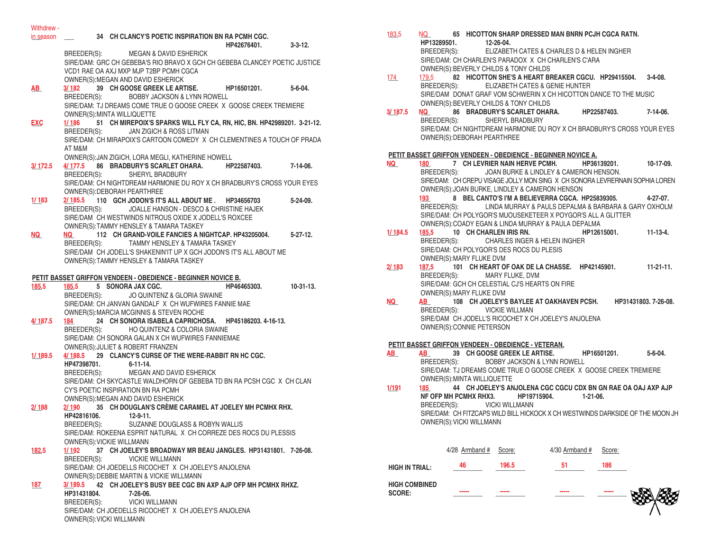| Withdrew |  |  |  |
|----------|--|--|--|
|          |  |  |  |
|          |  |  |  |

| in season |                          | 34 CH CLANCY'S POETIC INSPIRATION BN RA PCMH CGC.                                                     |                       |                |
|-----------|--------------------------|-------------------------------------------------------------------------------------------------------|-----------------------|----------------|
|           |                          |                                                                                                       | HP42676401.           | $3 - 3 - 12$ . |
|           |                          | BREEDER(S): MEGAN & DAVID ESHERICK                                                                    |                       |                |
|           |                          | SIRE/DAM: GRC CH GEBEBA'S RIO BRAVO X GCH CH GEBEBA CLANCEY POETIC JUSTICE                            |                       |                |
|           |                          | VCD1 RAE OA AXJ MXP MJP T2BP PCMH CGCA                                                                |                       |                |
|           |                          | OWNER(S): MEGAN AND DAVID ESHERICK                                                                    |                       |                |
| AB        | 3/182                    | 39 CH GOOSE GREEK LE ARTISE. HP16501201.                                                              |                       | 5-6-04.        |
|           |                          | BREEDER(S): BOBBY JACKSON & LYNN ROWELL                                                               |                       |                |
|           |                          | SIRE/DAM: TJ DREAMS COME TRUE O GOOSE CREEK X GOOSE CREEK TREMIERE                                    |                       |                |
| EXC       | 1/186                    | OWNER(S): MINTA WILLIQUETTE<br>51 CH MIREPOIX'S SPARKS WILL FLY CA, RN, HIC, BN. HP42989201. 3-21-12. |                       |                |
|           |                          | BREEDER(S): JAN ZIGICH & ROSS LITMAN                                                                  |                       |                |
|           |                          | SIRE/DAM: CH MIRAPOIX'S CARTOON COMEDY X CH CLEMENTINES A TOUCH OF PRADA                              |                       |                |
|           | AT M&M                   |                                                                                                       |                       |                |
|           |                          | OWNER(S): JAN ZIGICH, LORA MEGLI, KATHERINE HOWELL                                                    |                       |                |
| 3/ 172.5  |                          | 4/177.5 86 BRADBURY'S SCARLET OHARA. HP22587403.                                                      |                       | 7-14-06.       |
|           |                          | BREEDER(S): SHERYL BRADBURY                                                                           |                       |                |
|           |                          | SIRE/DAM: CH NIGHTDREAM HARMONIE DU ROY X CH BRADBURY'S CROSS YOUR EYES                               |                       |                |
|           |                          | OWNER(S): DEBORAH PEARTHREE                                                                           |                       |                |
| 1/183     |                          | 2/185.5 110 GCH JODON'S IT'S ALL ABOUT ME. HP34656703                                                 |                       | $5 - 24 - 09.$ |
|           | BREEDER(S):              | JOALLE HANSON - DESCO & CHRISTINE HAJEK                                                               |                       |                |
|           |                          | SIRE/DAM CH WESTWINDS NITROUS OXIDE X JODELL'S ROXCEE                                                 |                       |                |
|           |                          | OWNER(S): TAMMY HENSLEY & TAMARA TASKEY                                                               |                       |                |
| NQ        | NQ                       | 112 CH GRAND-VOILE FANCIES A NIGHTCAP, HP43205004. 5-27-12.                                           |                       |                |
|           | BREEDER(S):              | TAMMY HENSLEY & TAMARA TASKEY<br>SIRE/DAM CH JODELL'S SHAKENIN'IT UP X GCH JODON'S IT'S ALL ABOUT ME  |                       |                |
|           |                          | OWNER(S): TAMMY HENSLEY & TAMARA TASKEY                                                               |                       |                |
|           |                          |                                                                                                       |                       |                |
|           |                          | PETIT BASSET GRIFFON VENDEEN - OBEDIENCE - BEGINNER NOVICE B.                                         |                       |                |
| 185.5     | 185.5                    | 5 SONORA JAX CGC.                                                                                     | HP46465303. 10-31-13. |                |
|           | BREEDER(S):              | JO QUINTENZ & GLORIA SWAINE                                                                           |                       |                |
|           |                          | SIRE/DAM: CH JANVAN GANDALF X CH WUFWIRES FANNIE MAE                                                  |                       |                |
|           |                          | OWNER(S): MARCIA MCGINNIS & STEVEN ROCHE                                                              |                       |                |
| 4/ 187.5  | 184                      | 24 CH SONORA ISABELA CAPRICHOSA. HP45186203. 4-16-13.                                                 |                       |                |
|           | BREEDER(S):              | HO QUINTENZ & COLORIA SWAINE                                                                          |                       |                |
|           |                          | SIRE/DAM: CH SONORA GALAN X CH WUFWIRES FANNIEMAE                                                     |                       |                |
|           |                          | OWNER(S): JULIET & ROBERT FRANZEN                                                                     |                       |                |
| 1/189.5   |                          | 4/188.5 29 CLANCY'S CURSE OF THE WERE-RABBIT RN HC CGC.                                               |                       |                |
|           |                          | HP47398701. 6-11-14.<br>BREEDER(S): MEGAN AND DAVID ESHERICK                                          |                       |                |
|           |                          | SIRE/DAM: CH SKYCASTLE WALDHORN OF GEBEBA TD BN RA PCSH CGC X CH CLAN                                 |                       |                |
|           |                          | CY'S POETIC INSPIRATION BN RA PCMH                                                                    |                       |                |
|           |                          | OWNER(S): MEGAN AND DAVID ESHERICK                                                                    |                       |                |
| 2/188     |                          | 2/190 35 CH DOUGLAN'S CRÈME CARAMEL AT JOELEY MH PCMHX RHX.                                           |                       |                |
|           | HP42816106.              | 12-9-11.                                                                                              |                       |                |
|           |                          | BREEDER(S): SUZANNE DOUGLASS & ROBYN WALLIS                                                           |                       |                |
|           |                          | SIRE/DAM: ROKEENA ESPRIT NATURAL X CH CORREZE DES ROCS DU PLESSIS                                     |                       |                |
|           |                          | OWNER(S): VICKIE WILLMANN                                                                             |                       |                |
| 182.5     | 1/192                    | 37 CH JOELEY'S BROADWAY MR BEAU JANGLES. HP31431801. 7-26-08.                                         |                       |                |
|           | BREEDER(S):              | <b>VICKIE WILLMANN</b>                                                                                |                       |                |
|           |                          | SIRE/DAM: CH JOEDELLS RICOCHET X CH JOELEY'S ANJOLENA                                                 |                       |                |
|           |                          | OWNER(S): DEBBIE MARTIN & VICKIE WILLMANN                                                             |                       |                |
| 187       | HP31431804.              | 3/189.5 42 CH JOELEY'S BUSY BEE CGC BN AXP AJP OFP MH PCMHX RHXZ.<br>7-26-06.                         |                       |                |
|           | BREEDER(S):              | <b>VICKI WILLMANN</b>                                                                                 |                       |                |
|           |                          | SIRE/DAM: CH JOEDELLS RICOCHET X CH JOELEY'S ANJOLENA                                                 |                       |                |
|           | OWNER(S): VICKI WILLMANN |                                                                                                       |                       |                |

**\_\_\_ \_\_\_ 65 HICOTTON SHARP DRESSED MAN BNRN PCJH CGCA RATN. HP13289501. 12-26-04.** BREEDER(S): ELIZABETH CATES & CHARLES D & HELEN INGHER SIRE/DAM: CH CHARLEN'S PARADOX X CH CHARLEN'S C'ARA OWNER(S):BEVERLY CHILDS & TONY CHILDS **\_\_\_ \_\_\_ 82 HICOTTON SHE'S A HEART BREAKER CGCU. HP29415504. 3-4-08.** BREEDER(S): ELIZABETH CATES & GENIE HUNTER SIRE/DAM DONAT GRAF VOM SCHWERIN X CH HICOTTON DANCE TO THE MUSIC OWNER(S):BEVERLY CHILDS & TONY CHILDS **\_\_\_ \_\_\_ 86 BRADBURY'S SCARLET OHARA. HP22587403. 7-14-06.** BREEDER(S): SHERYL BRADBURY SIRE/DAM: CH NIGHTDREAM HARMONIE DU ROY X CH BRADBURY'S CROSS YOUR EYES OWNER(S):DEBORAH PEARTHREE **PETIT BASSET GRIFFON VENDEEN - OBEDIENCE - BEGINNER NOVICE A. \_\_\_ \_\_\_ 7 CH LEVRIER NAIN HERVE PCMH. HP36139201. 10-17-09.** BREEDER(S): JOAN BURKE & LINDLEY & CAMERON HENSON. SIRE/DAM: CH CREPU VISAGE JOLLY MON SING X CH SONORA LEVRERNAIN SOPHIA LOREN OWNER(S):JOAN BURKE, LINDLEY & CAMERON HENSON **\_\_\_ 8 BEL CANTO'S I'M A BELIEVERRA CGCA. HP25839305. 4-27-07.** BREEDER(S): LINDA MURRAY & PAULS DEPALMA & BARBARA & GARY OXHOLM SIRE/DAM: CH POLYGOR'S MUOUSEKETEER X POYGOR'S ALL A GLITTER OWNER(S):COADY EGAN & LINDA MURRAY & PAULA DEPALMA **\_\_\_ \_\_\_ 10 CH CHARLEN IRIS RN. HP12615001. 11-13-4.** CHARLES INGER & HELEN INGHER SIRE/DAM: CH POLYGOR'S DES ROCS DU PLESIS OWNER(S):MARY FLUKE DVM **\_\_\_ \_\_\_ 101 CH HEART OF OAK DE LA CHASSE. HP42145901. 11-21-11.** BREEDER(S): MARY FLUKE, DVM 183.5 1<u>74</u> **3/ 187.5 NQ NQ 180 193 1/ 184.5 185.5 2/ 183 187.5**

SIRE/DAM: GCH CH CELESTIAL CJ'S HEARTS ON FIRE OWNER(S):MARY FLUKE DVM **\_\_\_ \_\_\_ 108 CH JOELEY'S BAYLEE AT OAKHAVEN PCSH. HP31431803. 7-26-08.** BREEDER(S): VICKIE WILLMAN SIRE/DAM CH JODELL'S RICOCHET X CH JOELEY'S ANJOLENA OWNER(S):CONNIE PETERSON **NQ AB**

#### **PETIT BASSET GRIFFON VENDEEN - OBEDIENCE - VETERAN.**

**\_\_\_ \_\_\_ 39 CH GOOSE GREEK LE ARTISE. HP16501201. 5-6-04.** BREEDER(S): BOBBY JACKSON & LYNN ROWELL SIRE/DAM: TJ DREAMS COME TRUE O GOOSE CREEK X GOOSE CREEK TREMIERE OWNER(S):MINTA WILLIQUETTE **\_\_\_ \_\_\_ 44 CH JOELEY'S ANJOLENA CGC CGCU CDX BN GN RAE OA OAJ AXP AJP NF OFP MH PCMHX RHX3. HP19715904. 1-21-06.** BREEDER(S): VICKI WILLMANN **AB AB 1/191** 

SIRE/DAM: CH FITZCAPS WILD BILL HICKOCK X CH WESTWINDS DARKSIDE OF THE MOON JH OWNER(S):VICKI WILLMANN

|                                       | $4/28$ Armband # | Score: | $4/30$ Armband # | Score: |  |
|---------------------------------------|------------------|--------|------------------|--------|--|
| <b>HIGH IN TRIAL:</b>                 | 46               | 196.5  | 51               | 186    |  |
| <b>HIGH COMBINED</b><br><b>SCORE:</b> |                  | -----  | -----            | -----  |  |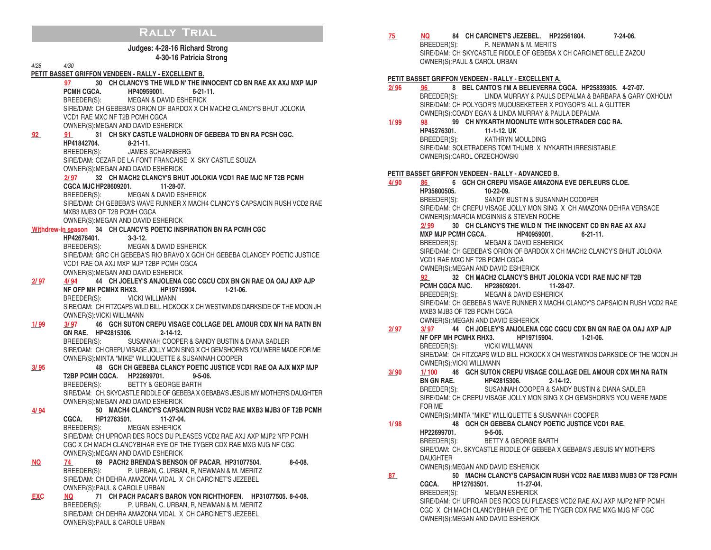### **Rally Trial**

|            | Judges: 4-28-16 Richard Strong                                                  |
|------------|---------------------------------------------------------------------------------|
|            | 4-30-16 Patricia Strong                                                         |
| 4/28       | 4/30                                                                            |
|            | PETIT BASSET GRIFFON VENDEEN - RALLY - EXCELLENT B.                             |
|            | 30 CH CLANCY'S THE WILD N' THE INNOCENT CD BN RAE AX AXJ MXP MJP                |
|            | PCMH CGCA.<br>HP40959001.<br>$6 - 21 - 11$ .                                    |
|            | BREEDER(S): MEGAN & DAVID ESHERICK                                              |
|            | SIRE/DAM: CH GEBEBA'S ORION OF BARDOX X CH MACH2 CLANCY'S BHUT JOLOKIA          |
|            | VCD1 RAE MXC NF T2B PCMH CGCA                                                   |
|            | OWNER(S): MEGAN AND DAVID ESHERICK                                              |
| 92         | 31 CH SKY CASTLE WALDHORN OF GEBEBA TD BN RA PCSH CGC.<br>91                    |
|            | $8-21-11.$<br>HP41842704.                                                       |
|            | BREEDER(S): JAMES SCHARNBERG                                                    |
|            | SIRE/DAM: CEZAR DE LA FONT FRANCAISE X SKY CASTLE SOUZA                         |
|            | OWNER(S): MEGAN AND DAVID ESHERICK                                              |
|            | 2/97 32 CH MACH2 CLANCY'S BHUT JOLOKIA VCD1 RAE MJC NF T2B PCMH                 |
|            | CGCA MJC HP28609201. 11-28-07.                                                  |
|            | BREEDER(S): MEGAN & DAVID ESHERICK                                              |
|            | SIRE/DAM: CH GEBEBA'S WAVE RUNNER X MACH4 CLANCY'S CAPSAICIN RUSH VCD2 RAE      |
|            | MXB3 MJB3 OF T2B PCMH CGCA                                                      |
|            | OWNER(S): MEGAN AND DAVID ESHERICK                                              |
|            | Withdrew-in season 34 CH CLANCY'S POETIC INSPIRATION BN RA PCMH CGC             |
|            | HP42676401.<br>$3 - 3 - 12$ .                                                   |
|            | BREEDER(S): MEGAN & DAVID ESHERICK                                              |
|            | SIRE/DAM: GRC CH GEBEBA'S RIO BRAVO X GCH CH GEBEBA CLANCEY POETIC JUSTICE      |
|            | VCD1 RAE OA AXJ MXP MJP T2BP PCMH CGCA                                          |
|            | OWNER(S): MEGAN AND DAVID ESHERICK                                              |
| 2/97       | 44 CH JOELEY'S ANJOLENA CGC CGCU CDX BN GN RAE OA OAJ AXP AJP<br>4/94           |
|            | NF OFP MH PCMHX RHX3.<br>HP19715904.<br>$1-21-06$                               |
|            | BREEDER(S): VICKI WILLMANN                                                      |
|            | SIRE/DAM: CH FITZCAPS WILD BILL HICKOCK X CH WESTWINDS DARKSIDE OF THE MOON JH  |
|            | OWNER(S): VICKI WILLMANN                                                        |
| 1/99       | 3/97 46 GCH SUTON CREPU VISAGE COLLAGE DEL AMOUR CDX MH NA RATN BN              |
|            | GN RAE. HP42815306.<br>$2 - 14 - 12$ .                                          |
|            | BREEDER(S): SUSANNAH COOPER & SANDY BUSTIN & DIANA SADLER                       |
|            | SIRE/DAM: CH CREPU VISAGE JOLLY MON SING X CH GEMSHORN'S YOU WERE MADE FOR ME   |
|            | OWNER(S): MINTA "MIKE" WILLIQUETTE & SUSANNAH COOPER                            |
| 3/95       | 48 GCH CH GEBEBA CLANCY POETIC JUSTICE VCD1 RAE OA AJX MXP MJP                  |
|            | T2BP PCMH CGCA. HP22699701.<br>$9 - 5 - 06$ .                                   |
|            | BREEDER(S): BETTY & GEORGE BARTH                                                |
|            | SIRE/DAM: CH. SKYCASTLE RIDDLE OF GEBEBA X GEBABA'S JESUIS MY MOTHER'S DAUGHTER |
|            | OWNER(S): MEGAN AND DAVID ESHERICK                                              |
| 4/94       | 50 MACH4 CLANCY'S CAPSAICIN RUSH VCD2 RAE MXB3 MJB3 OF T2B PCMH                 |
|            | CGCA.<br>HP12763501. 11-27-04.                                                  |
|            | BREEDER(S): MEGAN ESHERICK                                                      |
|            | SIRE/DAM: CH UPROAR DES ROCS DU PLEASES VCD2 RAE AXJ AXP MJP2 NFP PCMH          |
|            | CGC X CH MACH CLANCYBIHAR EYE OF THE TYGER CDX RAE MXG MJG NF CGC               |
|            | OWNER(S): MEGAN AND DAVID ESHERICK                                              |
| <u>NQ</u>  | 69 PACH2 BRENDA'S BENSON OF PACAR. HP31077504.<br>74<br>$8 - 4 - 08$ .          |
|            | BREEDER(S):<br>P. URBAN, C. URBAN, R, NEWMAN & M. MERITZ                        |
|            | SIRE/DAM: CH DEHRA AMAZONA VIDAL X CH CARCINET'S JEZEBEL                        |
|            | OWNER(S): PAUL & CAROLE URBAN                                                   |
| <b>EXC</b> | 71 CH PACH PACAR'S BARON VON RICHTHOFEN. HP31077505. 8-4-08.<br>NQ              |
|            | BREEDER(S):<br>P. URBAN, C. URBAN, R, NEWMAN & M. MERITZ                        |
|            | SIRE/DAM: CH DEHRA AMAZONA VIDAL X CH CARCINET'S JEZEBEL                        |
|            | OWNER(S): PAUL & CAROLE URBAN                                                   |

**\_\_\_ \_\_\_ 84 CH CARCINET'S JEZEBEL. HP22561804. 7-24-06.** BREEDER(S): R. NEWMAN & M. MERITS SIRE/DAM: CH SKYCASTLE RIDDLE OF GEBEBA X CH CARCINET BELLE ZAZOU OWNER(S):PAUL & CAROL URBAN **75 NQ**

#### **PETIT BASSET GRIFFON VENDEEN - RALLY - EXCELLENT A.**

- **\_\_\_ \_\_\_ 8 BEL CANTO'S I'M A BELIEVERRA CGCA. HP25839305. 4-27-07.** LINDA MURRAY & PAULS DEPALMA & BARBARA & GARY OXHOLM SIRE/DAM: CH POLYGOR'S MUOUSEKETEER X POYGOR'S ALL A GLITTER OWNER(S):COADY EGAN & LINDA MURRAY & PAULA DEPALMA **2/ 96 96**
- **\_\_\_ \_\_\_ 99 CH NYKARTH MOONLITE WITH SOLETRADER CGC RA. HP45276301. 11-1-12. UK** BREEDER(S): KATHRYN MOULDING SIRE/DAM: SOLETRADERS TOM THUMB X NYKARTH IRRESISTABLE OWNER(S):CAROL ORZECHOWSKI **1/99**

#### **PETIT BASSET GRIFFON VENDEEN - RALLY - ADVANCED B.**

**\_\_\_ \_\_\_ 6 GCH CH CREPU VISAGE AMAZONA EVE DEFLEURS CLOE. HP35800505. 10-22-09.** BREEDER(S): SANDY BUSTIN & SUSANNAH COO0PER SIRE/DAM: CH CREPU VISAGE JOLLY MON SING X CH AMAZONA DEHRA VERSACE OWNER(S):MARCIA MCGINNIS & STEVEN ROCHE **\_\_\_ 30 CH CLANCY'S THE WILD N' THE INNOCENT CD BN RAE AX AXJ 2/ 99 MXP MJP PCMH CGCA. HP40959001. 6-21-11.** BREEDER(S): MEGAN & DAVID ESHERICK SIRE/DAM: CH GEBEBA'S ORION OF BARDOX X CH MACH2 CLANCY'S BHUT JOLOKIA VCD1 RAE MXC NF T2B PCMH CGCA OWNER(S):MEGAN AND DAVID ESHERICK **\_\_\_ 32 CH MACH2 CLANCY'S BHUT JOLOKIA VCD1 RAE MJC NF T2B PCMH CGCA MJC. HP28609201. 11-28-07.** BREEDER(S): MEGAN & DAVID ESHERICK SIRE/DAM: CH GEBEBA'S WAVE RUNNER X MACH4 CLANCY'S CAPSAICIN RUSH VCD2 RAE MXB3 MJB3 OF T2B PCMH CGCA OWNER(S):MEGAN AND DAVID ESHERICK **\_\_\_ \_\_\_ 44 CH JOELEY'S ANJOLENA CGC CGCU CDX BN GN RAE OA OAJ AXP AJP NF OFP MH PCMHX RHX3. HP19715904. 1-21-06.** BREEDER(S): VICKI WILLMANN SIRE/DAM: CH FITZCAPS WILD BILL HICKOCK X CH WESTWINDS DARKSIDE OF THE MOON JH OWNER(S):VICKI WILLMANN **\_\_\_ \_\_\_ 46 GCH SUTON CREPU VISAGE COLLAGE DEL AMOUR CDX MH NA RATN 3/ 90 1/ 100 BN GN RAE. HP42815306. 2-14-12.** BREEDER(S): SUSANNAH COOPER & SANDY BUSTIN & DIANA SADLER SIRE/DAM: CH CREPU VISAGE JOLLY MON SING X CH GEMSHORN'S YOU WERE MADE FOR ME OWNER(S):MINTA "MIKE" WILLIQUETTE & SUSANNAH COOPER **\_\_\_ 48 GCH CH GEBEBA CLANCY POETIC JUSTICE VCD1 RAE. HP22699701. 9-5-06.** BREEDER(S): BETTY & GEORGE BARTH SIRE/DAM: CH. SKYCASTLE RIDDLE OF GEBEBA X GEBABA'S JESUIS MY MOTHER'S DAUGHTER OWNER(S):MEGAN AND DAVID ESHERICK **\_\_\_ 50 MACH4 CLANCY'S CAPSAICIN RUSH VCD2 RAE MXB3 MUB3 OF T28 PCMH CGCA. HP12763501. 11-27-04.** BREEDER(S): MEGAN ESHERICK SIRE/DAM: CH UPROAR DES ROCS DU PLEASES VCD2 RAE AXJ AXP MJP2 NFP PCMH **4/ 90 86 92 2/ 97 3/ 97 1/ 98 87**

CGC X CH MACH CLANCYBIHAR EYE OF THE TYGER CDX RAE MXG MJG NF CGC

OWNER(S):MEGAN AND DAVID ESHERICK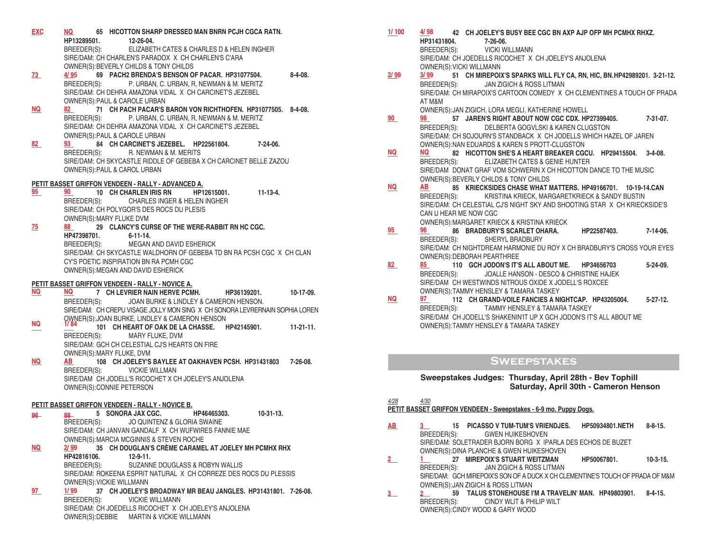**\_\_\_ \_\_\_ 65 HICOTTON SHARP DRESSED MAN BNRN PCJH CGCA RATN. HP13289501. 12-26-04.** BREEDER(S): ELIZABETH CATES & CHARLES D & HELEN INGHER SIRE/DAM: CH CHARLEN'S PARADOX X CH CHARLEN'S C'ARA  $EXC$ 

OWNER(S):BEVERLY CHILDS & TONY CHILDS

- **\_\_\_ \_\_\_ 69 PACH2 BRENDA'S BENSON OF PACAR. HP31077504. 8-4-08.** BREEDER(S): P. URBAN, C. URBAN, R. NEWMAN & M. MERITZ SIRE/DAM: CH DEHRA AMAZONA VIDAL X CH CARCINET'S JEZEBEL OWNER(S):PAUL & CAROLE URBAN **73 4/ 95**
- **\_\_\_ \_\_\_ 71 CH PACH PACAR'S BARON VON RICHTHOFEN. HP31077505. 8-4-08.** BREEDER(S): P. URBAN, C. URBAN, R. NEWMAN & M. MERITZ SIRE/DAM: CH DEHRA AMAZONA VIDAL X CH CARCINET'S JEZEBEL OWNER(S):PAUL & CAROLE URBAN **NQ 82**
- **\_\_\_ \_\_\_ 84 CH CARCINET'S JEZEBEL. HP22561804. 7-24-06.** BREEDER(S): R. NEWMAN & M. MERITS SIRE/DAM: CH SKYCASTLE RIDDLE OF GEBEBA X CH CARCINET BELLE ZAZOU OWNER(S):PAUL & CAROL URBAN **82 93**

### **PETIT BASSET GRIFFON VENDEEN - RALLY - ADVANCED A.**

- **\_\_\_ \_\_\_ 10 CH CHARLEN IRIS RN HP12615001. 11-13-4.** CHARLES INGER & HELEN INGHER SIRE/DAM: CH POLYGOR'S DES ROCS DU PLESIS OWNER(S):MARY FLUKE DVM **95 90**
- **\_\_ \_\_\_ 29 CLANCY'S CURSE OF THE WERE-RABBIT RN HC CGC. HP47398701. 6-11-14.** MEGAN AND DAVID ESHERICK SIRE/DAM: CH SKYCASTLE WALDHORN OF GEBEBA TD BN RA PCSH CGC X CH CLAN CY'S POETIC INSPIRATION BN RA PCMH CGC OWNER(S):MEGAN AND DAVID ESHERICK **75 88**

### **PETIT BASSET GRIFFON VENDEEN - RALLY - NOVICE A.**

- **\_\_\_ \_\_\_ 7 CH LEVRIER NAIN HERVE PCMH. HP36139201. 10-17-09.**  BREEDER(S): JOAN BURKE & LINDLEY & CAMERON HENSON. SIRE/DAM: CH CREPU VISAGE JOLLY MON SING X CH SONORA LEVRERNAIN SOPHIA LOREN OWNER(S):JOAN BURKE, LINDLEY & CAMERON HENSON **NQ NQ NQ 1/ 84**
- **\_\_\_ \_\_\_ 101 CH HEART OF OAK DE LA CHASSE. HP42145901. 11-21-11.** BREEDER(S): MARY FLUKE, DVM SIRE/DAM: GCH CH CELESTIAL CJ'S HEARTS ON FIRE OWNER(S):MARY FLUKE, DVM
- **\_\_\_ \_\_\_ 108 CH JOELEY'S BAYLEE AT OAKHAVEN PCSH. HP31431803 7-26-08.** BREEDER(S): VICKIE WILLMAN SIRE/DAM CH JODELL'S RICOCHET X CH JOELEY'S ANJOLENA OWNER(S):CONNIE PETERSON **NQ AB**

### **PETIT BASSET GRIFFON VENDEEN - RALLY - NOVICE B.**

- **\_\_\_ \_\_\_ 5 SONORA JAX CGC. HP46465303. 10-31-13.** BREEDER(S): JO QUINTENZ & GLORIA SWAINE SIRE/DAM: CH JANVAN GANDALF X CH WUFWIRES FANNIE MAE OWNER(S):MARCIA MCGINNIS & STEVEN ROCHE **96 88**
- **\_\_\_ \_\_\_ 35 CH DOUGLAN'S CRÈME CARAMEL AT JOELEY MH PCMHX RHX HP42816106. 12-9-11.** BREEDER(S): SUZANNE DOUGLASS & ROBYN WALLIS SIRE/DAM: ROKEENA ESPRIT NATURAL X CH CORREZE DES ROCS DU PLESSIS OWNER(S):VICKIE WILLMANN **NQ 2/ 99**
- **\_\_\_ \_\_\_ 37 CH JOELEY'S BROADWAY MR BEAU JANGLES. HP31431801. 7-26-08.** BREEDER(S): VICKIE WILLMANN SIRE/DAM: CH JOEDELLS RICOCHET X CH JOELEY'S ANJOLENA OWNER(S):DEBBIE MARTIN & VICKIE WILLMANN **97 1/ 99**
- **\_\_\_ \_\_\_ 42 CH JOELEY'S BUSY BEE CGC BN AXP AJP OFP MH PCMHX RHXZ. HP31431804. 7-26-06. VICKI WILLMANN** SIRE/DAM: CH JOEDELLS RICOCHET X CH JOELEY'S ANJOLENA OWNER(S):VICKI WILLMANN **1/ 100**
- **\_\_\_ \_\_\_ 51 CH MIREPOIX'S SPARKS WILL FLY CA, RN, HIC, BN.HP42989201. 3-21-12.** BREEDER(S): JAN ZIGICH & ROSS LITMAN SIRE/DAM: CH MIRAPOIX'S CARTOON COMEDY X CH CLEMENTINES A TOUCH OF PRADA AT M&M **2/ 99 3/ 99**
- OWNER(S):JAN ZIGICH, LORA MEGLI, KATHERINE HOWELL<br>98 57 JAREN'S RIGHT ABOUT NOW CGC CDX. HP **\_\_\_ \_\_\_ 57 JAREN'S RIGHT ABOUT NOW CGC CDX. HP27399405. 7-31-07.** BREEDER(S): DELBERTA GOGVLSKI & KAREN CLUGSTON SIRE/DAM: CH SOJOURN'S STANDBACK X CH JODELLS WHICH HAZEL OF JAREN OWNER(S):NAN EDUARDS & KAREN S PROTT-CLUGSTON **90 98**
- **\_\_\_ \_\_\_ 82 HICOTTON SHE'S A HEART BREAKER CGCU. HP29415504. 3-4-08.** BREEDER(S): ELIZABETH CATES & GENIE HUNTER SIRE/DAM DONAT GRAF VOM SCHWERIN X CH HICOTTON DANCE TO THE MUSIC OWNER(S):BEVERLY CHILDS & TONY CHILDS<br>AB 85 KRIECKSIDES CHASE WHAT N **NQ NQ**
- **\_\_\_ \_\_\_ 85 KRIECKSIDES CHASE WHAT MATTERS. HP49166701. 10-19-14.CAN** BREEDER(S): KRISTINA KRIECK, MARGARETKRIECK & SANDY BUSTIN SIRE/DAM: CH CELESTIAL CJ'S NIGHT SKY AND SHOOTING STAR X CH KRIECKSIDE'S CAN U HEAR ME NOW CGC **NQ AB**
- OWNER(S):MARGARET KRIECK & KRISTINA KRIECK **\_\_\_ \_\_\_ 86 BRADBURY'S SCARLET OHARA. HP22587403. 7-14-06.**  BREEDER(S): SHERYL BRADBURY SIRE/DAM: CH NIGHTDREAM HARMONIE DU ROY X CH BRADBURY'S CROSS YOUR EYES OWNER(S):DEBORAH PEARTHREE<br>85 110 GCH JODON'S IT'S **95 96**
- **\_\_\_ \_\_\_ 110 GCH JODON'S IT'S ALL ABOUT ME. HP34656703 5-24-09.** JOALLE HANSON - DESCO & CHRISTINE HAJEK SIRE/DAM CH WESTWINDS NITROUS OXIDE X JODELL'S ROXCEE OWNER(S):TAMMY HENSLEY & TAMARA TASKEY **82 85**
- **97 112 CH GRAND-VOILE FANCIES A NIGHTCAP. HP43205004. 5-27-12. BREEDER(S):** TAMMY HENSLEY & TAMARA TASKEY TAMMY HENSLEY & TAMARA TASKEY SIRE/DAM CH JODELL'S SHAKENIN'IT UP X GCH JODON'S IT'S ALL ABOUT ME OWNER(S):TAMMY HENSLEY & TAMARA TASKEY **NQ 97**

### **Sweepstakes**

**Sweepstakes Judges: Thursday, April 28th - Bev Tophill Saturday, April 30th - Cameron Henson**

### *4/28 4/30*

**PETIT BASSET GRIFFON VENDEEN - Sweepstakes - 6-9 mo. Puppy Dogs.**

- **\_\_\_ \_\_\_ 15 PICASSO V TUM-TUM'S VRIENDJES. HP50934801.NETH 8-8-15.** BREEDER(S): GWEN HUIKESHOVEN SIRE/DAM: SOLETRADER BJORN BORG X IPARLA DES ECHOS DE BUZET OWNER(S):DINA PLANCHE & GWEN HUIKESHOVEN **AB 3**
- **\_\_\_ \_\_\_ 27 MIREPOIX'S STUART WEITZMAN HP50067801. 10-3-15.** JAN ZIGICH & ROSS LITMAN SIRE/DAM: GCH MIREPOIX'S SON OF A DUCK X CH CLEMENTINE'S TOUCH OF PRADA OF M&M OWNER(S):JAN ZIGICH & ROSS LITMAN **2 1**
- **\_\_\_ \_\_\_ 59 TALUS STONEHOUSE I'M A TRAVELIN' MAN. HP49803901. 8-4-15.** CINDY WLIT & PHILIP WILT OWNER(S):CINDY WOOD & GARY WOOD **3 2**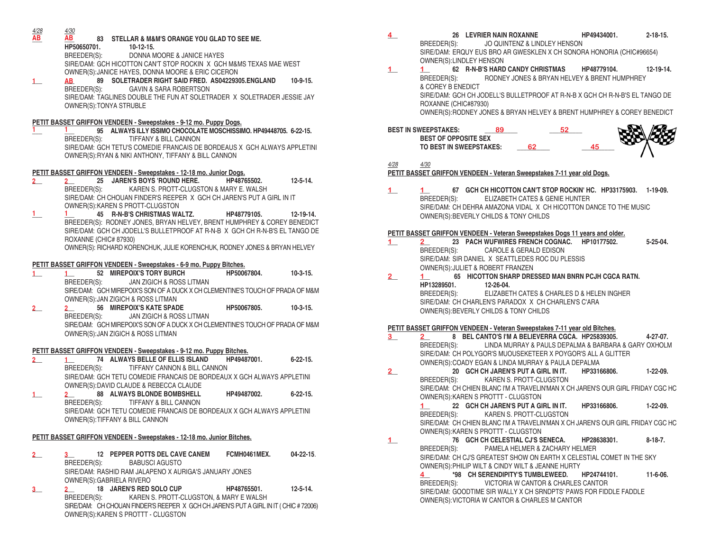*4/28 4/30* **AB AB**

# **\_\_\_ \_\_\_ 83 STELLAR & M&M'S ORANGE YOU GLAD TO SEE ME.**

**HP50650701. 10-12-15.** DONNA MOORE & JANICE HAYES SIRE/DAM: GCH HICOTTON CAN'T STOP ROCKIN X GCH M&MS TEXAS MAE WEST OWNER(S):JANICE HAYES, DONNA MOORE & ERIC CICERON

**\_\_\_ \_\_\_ 89 SOLETRADER RIGHT SAID FRED. AS04229305.ENGLAND 10-9-15.** BREEDER(S): GAVIN & SARA ROBERTSON SIRE/DAM: TAGLINES DOUBLE THE FUN AT SOLETRADER X SOLETRADER JESSIE JAY OWNER(S):TONYA STRUBLE  $1$ 

### **PETIT BASSET GRIFFON VENDEEN - Sweepstakes - 9-12 mo. Puppy Dogs.**

**\_\_\_ \_\_\_ 95 ALWAYS ILLY ISSIMO CHOCOLATE MOSCHISSIMO. HP49448705. 6-22-15.** TIFFANY & BILL CANNON SIRE/DAM: GCH TETU'S COMEDIE FRANCAIS DE BORDEAUS X GCH ALWAYS APPLETINI OWNER(S):RYAN & NIKI ANTHONY, TIFFANY & BILL CANNON **1 1**

# **PETIT BASSET GRIFFON VENDEEN - Sweepstakes - 12-18 mo. Junior Dogs.**

- **\_\_\_ \_\_\_ 25 JAREN'S BOYS 'ROUND HERE. HP48765502. 12-5-14.** BREEDER(S): KAREN S. PROTT-CLUGSTON & MARY E. WALSH SIRE/DAM: CH CHOUAN FINDER'S REEPER X GCH CH JAREN'S PUT A GIRL IN IT OWNER(S):KAREN S PROTT-CLUGSTON **2 2**
- **\_\_\_ \_\_\_ 45 R-N-B'S CHRISTMAS WALTZ. HP48779105. 12-19-14.** BREEDER(S): RODNEY JONES, BRYAN HELVEY, BRENT HUMPHREY & COREY BENEDICT SIRE/DAM: GCH CH JODELL'S BULLETPROOF AT R-N-B X GCH CH R-N-B'S EL TANGO DE ROXANNE (CHIC# 87930) OWNER(S): RICHARD KORENCHUK, JULIE KORENCHUK, RODNEY JONES & BRYAN HELVEY **1 1**

**PETIT BASSET GRIFFON VENDEEN - Sweepstakes - 6-9 mo. Puppy Bitches.**

- **\_\_\_ \_\_\_ 52 MIREPOIX'S TORY BURCH HP50067804. 10-3-15. JAN ZIGICH & ROSS LITMAN** SIRE/DAM: GCH MIREPOIX'S SON OF A DUCK X CH CLEMENTINE'S TOUCH OF PRADA OF M&M OWNER(S):JAN ZIGICH & ROSS LITMAN **1 1**
- **\_\_\_ \_\_\_ 56 MIREPOIX'S KATE SPADE HP50067805. 10-3-15.** BREEDER(S): JAN ZIGICH & ROSS LITMAN SIRE/DAM: GCH MIREPOIX'S SON OF A DUCK X CH CLEMENTINE'S TOUCH OF PRADA OF M&M OWNER(S):JAN ZIGICH & ROSS LITMAN **2 2**

### **PETIT BASSET GRIFFON VENDEEN - Sweepstakes - 9-12 mo. Puppy Bitches.**

- **\_\_\_ \_\_\_ 74 ALWAYS BELLE OF ELLIS ISLAND HP49487001. 6-22-15.** BREEDER(S): TIFFANY CANNON & BILL CANNON SIRE/DAM: GCH TETU COMEDIE FRANCAIS DE BORDEAUX X GCH ALWAYS APPLETINI OWNER(S):DAVID CLAUDE & REBECCA CLAUDE **2 1**
- **\_\_\_ \_\_\_ 88 ALWAYS BLONDE BOMBSHELL HP49487002. 6-22-15.** TIFFANY & BILL CANNON SIRE/DAM: GCH TETU COMEDIE FRANCAIS DE BORDEAUX X GCH ALWAYS APPLETINI OWNER(S):TIFFANY & BILL CANNON **1 2**

### **PETIT BASSET GRIFFON VENDEEN - Sweepstakes - 12-18 mo. Junior Bitches.**

- **\_\_\_ \_\_\_ 12 PEPPER POTTS DEL CAVE CANEM FCMH0461MEX. 04-22-15**. BREEDER(S): BABUSCI AGUSTO SIRE/DAM: RASHID RAM JALAPENO X AURIGA'S JANUARY JONES OWNER(S):GABRIELA RIVERO **2 3**
- **\_\_\_ \_\_\_ 18 JAREN'S RED SOLO CUP HP48765501. 12-5-14.** BREEDER(S): KAREN S. PROTT-CLUGSTON, & MARY E WALSH SIRE/DAM: CH CHOUAN FINDER'S REEPER X GCH CH JAREN'S PUT A GIRL IN IT ( CHIC # 72006) OWNER(S):KAREN S PROTTT - CLUGSTON **3 2**
- **\_\_\_ 26 LEVRIER NAIN ROXANNE HP49434001. 2-18-15.** BREEDER(S): JO QUINTENZ & LINDLEY HENSON SIRE/DAM: ERQUY EUS BRO AR GWESKLEN X CH SONORA HONORIA (CHIC#96654) OWNER(S):LINDLEY HENSON **4**
- **\_\_\_ \_\_\_ 62 R-N-B'S HARD CANDY CHRISTMAS HP48779104. 12-19-14.** RODNEY JONES & BRYAN HELVEY & BRENT HUMPHREY & COREY B ENEDICT SIRE/DAM: GCH CH JODELL'S BULLETPROOF AT R-N-B X GCH CH R-N-B'S EL TANGO DE ROXANNE (CHIC#87930) OWNER(S):RODNEY JONES & BRYAN HELVEY & BRENT HUMPHREY & COREY BENEDICT **1 1**

| <b>BEST IN SWEEPSTAKES:</b> |  |  |  |
|-----------------------------|--|--|--|
| <b>BEST OF OPPOSITE SEX</b> |  |  |  |
| TO BEST IN SWEEPSTAKES:     |  |  |  |
|                             |  |  |  |

#### *4/28 4/30*

**PETIT BASSET GRIFFON VENDEEN - Veteran Sweepstakes 7-11 year old Dogs.**

**\_\_\_ \_\_\_ 67 GCH CH HICOTTON CAN'T STOP ROCKIN' HC. HP33175903. 1-19-09.** BREEDER(S): ELIZABETH CATES & GENIE HUNTER SIRE/DAM: CH DEHRA AMAZONA VIDAL X CH HICOTTON DANCE TO THE MUSIC OWNER(S):BEVERLY CHILDS & TONY CHILDS **1 1**

### **PETIT BASSET GRIFFON VENDEEN - Veteran Sweepstakes Dogs 11 years and older.**

- **\_\_\_ \_\_\_ 23 PACH WUFWIRES FRENCH COGNAC. HP10177502. 5-25-04.** BREEDER(S): CAROLE & GERALD EDISON SIRE/DAM: SIR DANIEL X SEATTLEDES ROC DU PLESSIS OWNER(S):JULIET & ROBERT FRANZEN **1 2**
- **\_\_\_ \_\_\_ 65 HICOTTON SHARP DRESSED MAN BNRN PCJH CGCA RATN. HP13289501. 12-26-04.** BREEDER(S): ELIZABETH CATES & CHARLES D & HELEN INGHER SIRE/DAM: CH CHARLEN'S PARADOX X CH CHARLEN'S C'ARA OWNER(S):BEVERLY CHILDS & TONY CHILDS **2 1**

### **PETIT BASSET GRIFFON VENDEEN - Veteran Sweepstakes 7-11 year old Bitches.**

- **\_\_\_ \_\_\_ 8 BEL CANTO'S I'M A BELIEVERRA CGCA. HP25839305. 4-27-07.** LINDA MURRAY & PAULS DEPALMA & BARBARA & GARY OXHOLM SIRE/DAM: CH POLYGOR'S MUOUSEKETEER X POYGOR'S ALL A GLITTER OWNER(S):COADY EGAN & LINDA MURRAY & PAULA DEPALMA **3 2**
- **\_\_\_ 20 GCH CH JAREN'S PUT A GIRL IN IT. HP33166806. 1-22-09.** BREEDER(S): KAREN S. PROTT-CLUGSTON SIRE/DAM: CH CHIEN BLANC I'M A TRAVELIN'MAN X CH JAREN'S OUR GIRL FRIDAY CGC HC OWNER(S):KAREN S PROTTT - CLUGSTON **2**
	- **\_\_\_ 22 GCH CH JAREN'S PUT A GIRL IN IT. HP33166806. 1-22-09.** KAREN S. PROTT-CLUGSTON SIRE/DAM: CH CHIEN BLANC I'M A TRAVELIN'MAN X CH JAREN'S OUR GIRL FRIDAY CGC HC OWNER(S):KAREN S PROTTT - CLUGSTON **1**
- **\_\_\_ 76 GCH CH CELESTIAL CJ'S SENECA. HP28638301. 8-18-7.** BREEDER(S): PAMELA HELMER & ZACHARY HELMER SIRE/DAM: CH CJ'S GREATEST SHOW ON EARTH X CELESTIAL COMET IN THE SKY OWNER(S):PHILIP WILT & CINDY WILT & JEANNE HURTY **1**
	- **\_\_\_ \*98 CH SERENDIPITY'S TUMBLEWEED. HP24744101. 11-6-06.** VICTORIA W CANTOR & CHARLES CANTOR SIRE/DAM: GOODTIME SIR WALLY X CH SRNDPTS' PAWS FOR FIDDLE FADDLE OWNER(S):VICTORIA W CANTOR & CHARLES M CANTOR **4**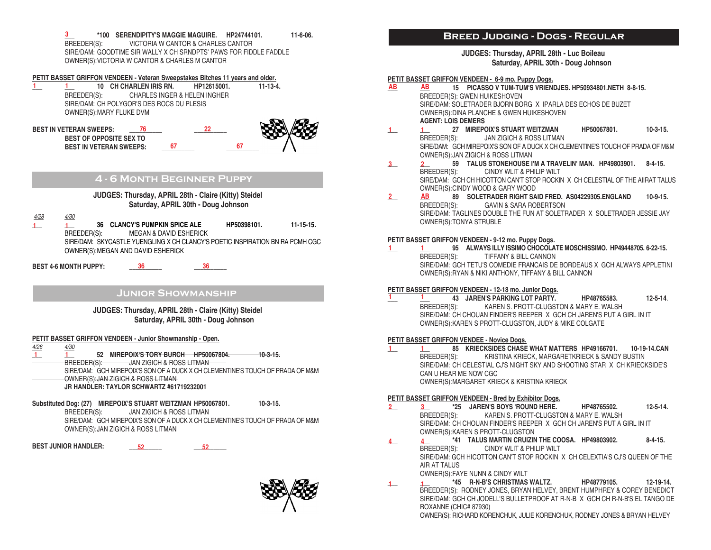

### **Breed Judging - Dogs - Regular**

**JUDGES: Thursday, APRIL 28th - Luc Boileau Saturday, APRIL 30th - Doug Johnson**

#### **PETIT BASSET GRIFFON VENDEEN - 6-9 mo. Puppy Dogs.**

- **\_\_\_ \_\_\_ 15 PICASSO V TUM-TUM'S VRIENDJES. HP50934801.NETH 8-8-15.** BREEDER(S): GWEN HUIKESHOVEN SIRE/DAM: SOLETRADER BJORN BORG X IPARLA DES ECHOS DE BUZET OWNER(S):DINA PLANCHE & GWEN HUIKESHOVEN **AGENT: LOIS DEMERS**
- **\_\_\_ \_\_\_ 27 MIREPOIX'S STUART WEITZMAN HP50067801. 10-3-15. JAN ZIGICH & ROSS LITMAN** SIRE/DAM: GCH MIREPOIX'S SON OF A DUCK X CH CLEMENTINE'S TOUCH OF PRADA OF M&M OWNER(S):JAN ZIGICH & ROSS LITMAN
- **\_\_\_ \_\_\_ 59 TALUS STONEHOUSE I'M A TRAVELIN' MAN. HP49803901. 8-4-15.** BREEDER(S): CINDY WLIT & PHILIP WILT SIRE/DAM: GCH CH HICOTTON CAN'T STOP ROCKIN X CH CELESTIAL OF THE AIIRAT TALUS OWNER(S):CINDY WOOD & GARY WOOD
- **AB 89 SOLETRADER RIGHT SAID FRED. AS04229305.ENGLAND 10-9-15.**<br>BREEDER(S): GAVIN & SARA ROBERTSON GAVIN & SARA ROBERTSON SIRE/DAM: TAGLINES DOUBLE THE FUN AT SOLETRADER X SOLETRADER JESSIE JAY OWNER(S):TONYA STRUBLE

#### **PETIT BASSET GRIFFON VENDEEN - 9-12 mo. Puppy Dogs.**

**\_\_\_ \_\_\_ 95 ALWAYS ILLY ISSIMO CHOCOLATE MOSCHISSIMO. HP49448705. 6-22-15.** BREEDER(S): TIFFANY & BILL CANNON SIRE/DAM: GCH TETU'S COMEDIE FRANCAIS DE BORDEAUS X GCH ALWAYS APPLETINI OWNER(S):RYAN & NIKI ANTHONY, TIFFANY & BILL CANNON

#### **PETIT BASSET GRIFFON VENDEEN - 12-18 mo. Junior Dogs.**

**\_\_\_ \_\_\_ 43 JAREN'S PARKING LOT PARTY. HP48765583. 12-5-14**. KAREN S. PROTT-CLUGSTON & MARY E. WALSH SIRE/DAM: CH CHOUAN FINDER'S REEPER X GCH CH JAREN'S PUT A GIRL IN IT OWNER(S):KAREN S PROTT-CLUGSTON, JUDY & MIKE COLGATE

#### **PETIT BASSET GRIFFON VENDEE - Novice Dogs.**

**\_\_\_ \_\_\_ 85 KRIECKSIDES CHASE WHAT MATTERS HP49166701. 10-19-14.CAN** BREEDER(S): KRISTINA KRIECK, MARGARETKRIECK & SANDY BUSTIN SIRE/DAM: CH CELESTIAL CJ'S NIGHT SKY AND SHOOTING STAR X CH KRIECKSIDE'S CAN U HEAR ME NOW CGC OWNER(S):MARGARET KRIECK & KRISTINA KRIECK

#### **PETIT BASSET GRIFFON VENDEEN - Bred by Exhibitor Dogs.**

- **\_\_\_ \_\_\_ \*25 JAREN'S BOYS 'ROUND HERE. HP48765502. 12-5-14.** KAREN S. PROTT-CLUGSTON & MARY E. WALSH SIRE/DAM: CH CHOUAN FINDER'S REEPER X GCH CH JAREN'S PUT A GIRL IN IT OWNER(S):KAREN S PROTT-CLUGSTON
- **\_\_\_ \_\_\_ \*41 TALUS MARTIN CRUIZIN THE COOSA. HP49803902. 8-4-15.** CINDY WLIT & PHILIP WILT SIRE/DAM: GCH HICOTTON CAN'T STOP ROCKIN X CH CELEXTIA'S CJ'S QUEEN OF THE AIR AT TALUS OWNER(S):FAYE NUNN & CINDY WILT
- **\_\_\_ \_\_\_ \*45 R-N-B'S CHRISTMAS WALTZ. HP48779105. 12-19-14.** BREEDER(S): RODNEY JONES, BRYAN HELVEY, BRENT HUMPHREY & COREY BENEDICT SIRE/DAM: GCH CH JODELL'S BULLETPROOF AT R-N-B X GCH CH R-N-B'S EL TANGO DE ROXANNE (CHIC# 87930) OWNER(S): RICHARD KORENCHUK, JULIE KORENCHUK, RODNEY JONES & BRYAN HELVEY **1 1**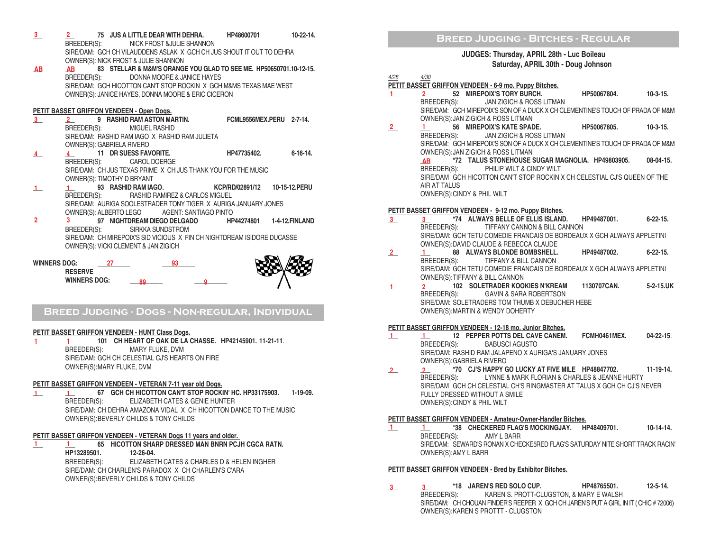- **\_\_\_ \_\_\_ 75 JUS A LITTLE DEAR WITH DEHRA. HP48600701 10-22-14. NICK FROST &JULIE SHANNON** SIRE/DAM: GCH CH VILAUDDENS ASLAK X GCH CH JUS SHOUT IT OUT TO DEHRA OWNER(S): NICK FROST & JULIE SHANNON **3 2**
- **\_\_\_ \_\_\_ 83 STELLAR & M&M'S ORANGE YOU GLAD TO SEE ME. HP50650701.10-12-15.** BREEDER(S): DONNA MOORE & JANICE HAYES SIRE/DAM: GCH HICOTTON CAN'T STOP ROCKIN X GCH M&MS TEXAS MAE WEST OWNER(S): JANICE HAYES, DONNA MOORE & ERIC CICERON AB

### **PETIT BASSET GRIFFON VENDEEN - Open Dogs.**

- **\_\_\_ \_\_\_ 9 RASHID RAM ASTON MARTIN. FCML9556MEX.PERU 2-7-14.** MIGUEL RASHID SIRE/DAM: RASHID RAM IAGO X RASHID RAM JULIETA OWNER(S): GABRIELA RIVERO<br>4 11 DR SUESS FAN **\_\_\_ \_\_\_ 11 DR SUESS FAVORITE. HP47735402. 6-16-14. 3 2 4 4**
- BREEDER(S): CAROL DOERGE SIRE/DAM: CH JUS TEXAS PRIME X CH JUS THANK YOU FOR THE MUSIC OWNER(S): TIMOTHY D BRYANT<br>193 RASHID RAM IAGO.
- **\_\_\_ \_\_\_ 93 RASHID RAM IAGO. KCP/RD/02891/12 10-15-12.PERU** RASHID RAMIREZ & CARLOS MIGUEL SIRE/DAM: AURIGA SOOLESTRADER TONY TIGER X AURIGA JANUARY JONES OWNER(S): ALBERTO LEGO AGENT: SANTIAGO PINTO **1 1**
- **\_\_\_ \_\_\_ 97 NIGHTDREAM DIEGO DELGADO HP44274801 1-4-12.FINLAND** SIRKKA SUNDSTROM SIRE/DAM: CH MIREPOIX'S SID VICIOUS X FIN CH NIGHTDREAM ISIDORE DUCASSE OWNER(S): VICKI CLEMENT & JAN ZIGICH **2 3**

**WINNERS DOG: \_\_\_\_\_\_\_\_\_\_ \_\_\_\_\_\_\_\_\_\_ 27 93 RESERVE WINNERS DOG: \_\_\_\_\_\_\_\_\_\_ \_\_\_\_\_\_\_\_\_\_ 89 9**

### **Breed Judging - Dogs - Non-regular, Individual**

### **PETIT BASSET GRIFFON VENDEEN - HUNT Class Dogs.**

**\_\_\_ \_\_\_ 101 CH HEART OF OAK DE LA CHASSE. HP42145901. 11-21-11**. BREEDER(S): MARY FLUKE, DVM SIRE/DAM: GCH CH CELESTIAL CJ'S HEARTS ON FIRE OWNER(S):MARY FLUKE, DVM **1 1**

### **PETIT BASSET GRIFFON VENDEEN - VETERAN 7-11 year old Dogs.**

**\_\_\_ \_\_\_ 67 GCH CH HICOTTON CAN'T STOP ROCKIN' HC. HP33175903. 1-19-09.** BREEDER(S): ELIZABETH CATES & GENIE HUNTER SIRE/DAM: CH DEHRA AMAZONA VIDAL X CH HICOTTON DANCE TO THE MUSIC OWNER(S):BEVERLY CHILDS & TONY CHILDS **1 1**

# **PETIT BASSET GRIFFON VENDEEN - VETERAN Dogs 11 years and older.**<br>1 **1** 65 HICOTTON SHARP DRESSED MAN BNRN PCJ

**\_\_\_ \_\_\_ 65 HICOTTON SHARP DRESSED MAN BNRN PCJH CGCA RATN. HP13289501. 12-26-04.** BREEDER(S): ELIZABETH CATES & CHARLES D & HELEN INGHER SIRE/DAM: CH CHARLEN'S PARADOX X CH CHARLEN'S C'ARA OWNER(S):BEVERLY CHILDS & TONY CHILDS **1 1**

### **Breed Judging - Bitches - Regular**

### **JUDGES: Thursday, APRIL 28th - Luc Boileau Saturday, APRIL 30th - Doug Johnson**

#### *4/28 4/30* **PETIT BASSET GRIFFON VENDEEN - 6-9 mo. Puppy Bitches. \_\_\_ \_\_\_ 52 MIREPOIX'S TORY BURCH. HP50067804. 10-3-15.**  JAN ZIGICH & ROSS LITMAN SIRE/DAM: GCH MIREPOIX'S SON OF A DUCK X CH CLEMENTINE'S TOUCH OF PRADA OF M&M OWNER(S):JAN ZIGICH & ROSS LITMAN **\_\_\_ \_\_\_ 56 MIREPOIX'S KATE SPADE. HP50067805. 10-3-15.** JAN ZIGICH & ROSS LITMAN SIRE/DAM: GCH MIREPOIX'S SON OF A DUCK X CH CLEMENTINE'S TOUCH OF PRADA OF M&M OWNER(S):JAN ZIGICH & ROSS LITMAN **\_\_\_ \*72 TALUS STONEHOUSE SUGAR MAGNOLIA. HP49803905. 08-04-15.**  BREEDER(S): PHILIP WILT & CINDY WILT SIRE/DAM GCH HICOTTON CAN'T STOP ROCKIN X CH CELESTIAL CJ'S QUEEN OF THE AIR AT TALUS OWNER(S):CINDY & PHIL WILT **1 2**  $\frac{2}{\sqrt{2}}$ **AB**

### **PETIT BASSET GRIFFON VENDEEN - 9-12 mo. Puppy Bitches.**

- **\_\_\_ \_\_\_ \*74 ALWAYS BELLE OF ELLIS ISLAND. HP49487001. 6-22-15.** TIFFANY CANNON & BILL CANNON SIRE/DAM: GCH TETU COMEDIE FRANCAIS DE BORDEAUX X GCH ALWAYS APPLETINI OWNER(S):DAVID CLAUDE & REBECCA CLAUDE **3 3**
- **\_\_\_ \_\_\_ 88 ALWAYS BLONDE BOMBSHELL. HP49487002. 6-22-15.** BREEDER(S): TIFFANY & BILL CANNON SIRE/DAM: GCH TETU COMEDIE FRANCAIS DE BORDEAUX X GCH ALWAYS APPLETINI OWNER(S):TIFFANY & BILL CANNON  $\frac{2}{\sqrt{2}}$
- **\_\_\_ \_\_\_ 102 SOLETRADER KOOKIES N'KREAM 1130707CAN. 5-2-15.UK** BREEDER(S): GAVIN & SARA ROBERTSON SIRE/DAM: SOLETRADERS TOM THUMB X DEBUCHER HEBE OWNER(S):MARTIN & WENDY DOHERTY **1 2**

### **PETIT BASSET GRIFFON VENDEEN - 12-18 mo. Junior Bitches.**

- **\_\_\_ \_\_\_ 12 PEPPER POTTS DEL CAVE CANEM. FCMH0461MEX. 04-22-15**. BABUSCI AGUSTO SIRE/DAM: RASHID RAM JALAPENO X AURIGA'S JANUARY JONES OWNER(S):GABRIELA RIVERO **1 1**
- **\_\_\_ \_\_\_ \*70 CJ'S HAPPY GO LUCKY AT FIVE MILE HP48847702. 11-19-14.** BREEDER(S): LYNNE & MARK FLORIAN & CHARLES & JEANNE HURTY SIRE/DAM GCH CH CELESTIAL CH'S RINGMASTER AT TALUS X GCH CH CJ'S NEVER FULLY DRESSED WITHOUT A SMILE OWNER(S):CINDY & PHIL WILT **2 2**

### **PETIT BASSET GRIFFON VENDEEN - Amateur-Owner-Handler Bitches.**

**\_\_\_ \_\_\_ \*38 CHECKERED FLAG'S MOCKINGJAY. HP48409701. 10-14-14.**   $B$ REEDER(S): SIRE/DAM: SEWARD'S RONAN X CHECKE5RED FLAG'S SATURDAY NITE SHORT TRACK RACIN' OWNER(S):AMY L BARR **1 1**

### **PETIT BASSET GRIFFON VENDEEN - Bred by Exhibitor Bitches.**

**\_\_\_\_\_\_\_\_\_\_\_\_\*18 JAREN'S RED SOLO CUP.** HP48765501. **12-5-14.**<br>BREEDER(S): KAREN S. PROTT-CLUGSTON, & MARY E WALSH KAREN S. PROTT-CLUGSTON, & MARY E WALSH SIRE/DAM: CH CHOUAN FINDER'S REEPER X GCH CH JAREN'S PUT A GIRL IN IT ( CHIC # 72006) OWNER(S):KAREN S PROTTT - CLUGSTON **3 3**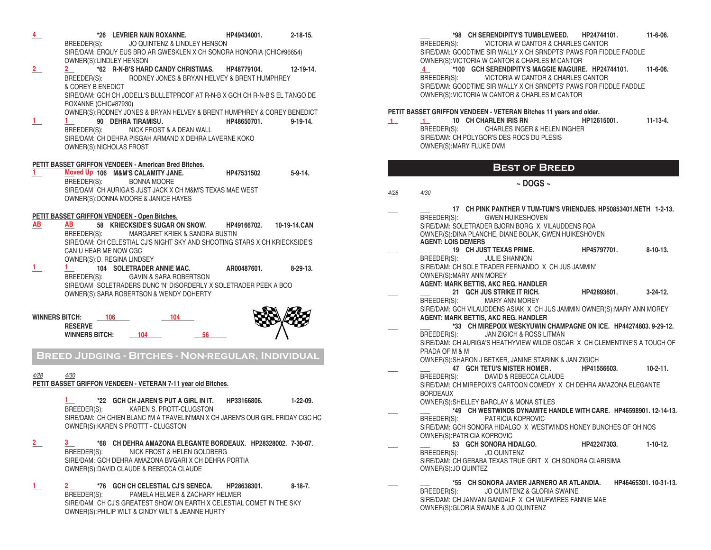- **\_\_\_ \*26 LEVRIER NAIN ROXANNE. HP49434001. 2-18-15.** BREEDER(S): JO QUINTENZ & LINDLEY HENSON SIRE/DAM: ERQUY EUS BRO AR GWESKLEN X CH SONORA HONORIA (CHIC#96654) OWNER(S):LINDLEY HENSON **\_\_\_ \_\_\_ \*62 R-N-B'S HARD CANDY CHRISTMAS. HP48779104. 12-19-14.** BREEDER(S): RODNEY JONES & BRYAN HELVEY & BRENT HUMPHREY & COREY B ENEDICT SIRE/DAM: GCH CH JODELL'S BULLETPROOF AT R-N-B X GCH CH R-N-B'S EL TANGO DE ROXANNE (CHIC#87930) OWNER(S):RODNEY JONES & BRYAN HELVEY & BRENT HUMPHREY & COREY BENEDICT **\_\_\_ \_\_\_ 90 DEHRA TIRAMISU. HP48650701. 9-19-14.** BREEDER(S): NICK FROST & A DEAN WALL SIRE/DAM: CH DEHRA PISGAH ARMAND X DEHRA LAVERNE KOKO OWNER(S):NICHOLAS FROST **PETIT BASSET GRIFFON VENDEEN - American Bred Bitches. \_\_\_ \_\_\_ 106 M&M'S CALAMITY JANE. HP47531502 5-9-14. 1 Moved Up** BREEDER(S): BONNA MOORE SIRE/DAM CH AURIGA'S JUST JACK X CH M&M'S TEXAS MAE WEST OWNER(S):DONNA MOORE & JANICE HAYES **PETIT BASSET GRIFFON VENDEEN - Open Bitches. \_\_\_ \_\_\_ 58 KRIECKSIDE'S SUGAR ON SNOW. HP49166702. 10-19-14.CAN** BREEDER(S): MARGARET KRIEK & SANDRA BUSTIN SIRE/DAM: CH CELESTIAL CJ'S NIGHT SKY AND SHOOTING STARS X CH KRIECKSIDE'S CAN U HEAR ME NOW CGC OWNER(S):D. REGINA LINDSEY **\_\_\_ \_\_\_ 104 SOLETRADER ANNIE MAC. AR00487601. 8-29-13.** BREEDER(S): GAVIN & SARA ROBERTSON SIRE/DAM SOLETRADERS DUNC 'N' DISORDERLY X SOLETRADER PEEK A BOO OWNER(S):SARA ROBERTSON & WENDY DOHERTY **WINNERS BITCH: \_\_\_\_\_\_\_\_\_\_ \_\_\_\_\_\_\_\_\_\_ 106 104 RESERVE WINNERS BITCH: \_\_\_\_\_\_\_\_\_\_ \_\_\_\_\_\_\_\_\_\_ 104 56** *4/28 4/30* **PETIT BASSET GRIFFON VENDEEN - VETERAN 7-11 year old Bitches. \_\_\_ \*22 GCH CH JAREN'S PUT A GIRL IN IT. HP33166806. 1-22-09.** KAREN S. PROTT-CLUGSTON SIRE/DAM: CH CHIEN BLANC I'M A TRAVELIN'MAN X CH JAREN'S OUR GIRL FRIDAY CGC HC OWNER(S):KAREN S PROTTT - CLUGSTON **\_\_\_ \_\_\_ \*68 CH DEHRA AMAZONA ELEGANTE BORDEAUX. HP28328002. 7-30-07.** BREEDER(S): NICK FROST & HELEN GOLDBERG **Breed Judging - Bitches - Non-regular, Individual 4 2 2 1 1 AB AB 1 1 1 2 3**
	- SIRE/DAM: GCH DEHRA AMAZONA BVGARI X CH DEHRA PORTIA OWNER(S):DAVID CLAUDE & REBECCA CLAUDE
	- **\_\_\_ \_\_\_ \*76 GCH CH CELESTIAL CJ'S SENECA. HP28638301. 8-18-7.** PAMELA HELMER & ZACHARY HELMER SIRE/DAM CH CJ'S GREATEST SHOW ON EARTH X CELESTIAL COMET IN THE SKY OWNER(S):PHILIP WILT & CINDY WILT & JEANNE HURTY **1 2**

**\_\_\_ \*98 CH SERENDIPITY'S TUMBLEWEED. HP24744101. 11-6-06.** VICTORIA W CANTOR & CHARLES CANTOR SIRE/DAM: GOODTIME SIR WALLY X CH SRNDPTS' PAWS FOR FIDDLE FADDLE OWNER(S):VICTORIA W CANTOR & CHARLES M CANTOR **\_\_\_ \*100 GCH SERENDIPITY'S MAGGIE MAGUIRE. HP24744101. 11-6-06.** BREEDER(S): VICTORIA W CANTOR & CHARLES CANTOR SIRE/DAM: GOODTIME SIR WALLY X CH SRNDPTS' PAWS FOR FIDDLE FADDLE OWNER(S):VICTORIA W CANTOR & CHARLES M CANTOR **4**

#### **PETIT BASSET GRIFFON VENDEEN - VETERAN Bitches 11 years and older.**

**\_\_\_ \_\_\_ 10 CH CHARLEN IRIS RN HP12615001. 11-13-4.** BREEDER(S): CHARLES INGER & HELEN INGHER SIRE/DAM: CH POLYGOR'S DES ROCS DU PLESIS OWNER(S):MARY FLUKE DVM **1 1**

### **Best of Breed**

#### **~ DOGS ~**

*4/28 4/30*

**\_\_\_ \_\_\_ 17 CH PINK PANTHER V TUM-TUM'S VRIENDJES. HP50853401.NETH 1-2-13.** BREEDER(S): GWEN HUIKESHOVEN SIRE/DAM: SOLETRADER BJORN BORG X VILAUDDENS ROA OWNER(S):DINA PLANCHE, DIANE BOLAK, GWEN HUIKESHOVEN **AGENT: LOIS DEMERS \_\_\_ \_\_\_ 19 CH JUST TEXAS PRIME. HP45797701. 8-10-13.** BREEDER(S): JULIE SHANNON SIRE/DAM: CH SOLE TRADER FERNANDO X CH JUS JAMMIN' OWNER(S):MARY ANN MOREY **AGENT: MARK BETTIS, AKC REG. HANDLER \_\_\_ \_\_\_ 21 GCH JUS STRIKE IT RICH. HP42893601. 3-24-12.** MARY ANN MOREY SIRE/DAM: GCH VILAUDDENS ASIAK X CH JUS JAMMIN OWNER(S):MARY ANN MOREY **AGENT: MARK BETTIS, AKC REG. HANDLER \_\_\_ \_\_\_ \*33 CH MIREPOIX WESKYUWIN CHAMPAGNE ON ICE. HP44274803. 9-29-12.** JAN ZIGICH & ROSS LITMAN SIRE/DAM: CH AURIGA'S HEATHYVIEW WILDE OSCAR X CH CLEMENTINE'S A TOUCH OF PRADA OF M & M OWNER(S):SHARON J BETKER, JANINE STARINK & JAN ZIGICH **\_\_\_ \_\_\_ 47 GCH TETU'S MISTER HOMER. HP41556603. 10-2-11.** BREEDER(S): DAVID & REBECCA CLAUDE SIRE/DAM: CH MIREPOIX'S CARTOON COMEDY X CH DEHRA AMAZONA ELEGANTE BORDEAUX OWNER(S):SHELLEY BARCLAY & MONA STILES **\_\_\_ \_\_\_ \*49 CH WESTWINDS DYNAMITE HANDLE WITH CARE. HP46598901. 12-14-13.** BREEDER(S): PATRICIA KOPROVIC SIRE/DAM: GCH SONORA HIDALGO X WESTWINDS HONEY BUNCHES OF OH NOS OWNER(S):PATRICIA KOPROVIC **\_\_\_ \_\_\_ 53 GCH SONORA HIDALGO. HP42247303. 1-10-12.** BREEDER(S): JO QUINTENZ SIRE/DAM: CH GEBABA TEXAS TRUE GRIT X CH SONORA CLARISIMA OWNER(S):JO QUINTEZ **\_\_\_ \_\_\_ \*55 CH SONORA JAVIER JARNERO AR ATLANDIA. HP46465301. 10-31-13.** BREEDER(S): JO QUINTENZ & GLORIA SWAINE SIRE/DAM: CH JANVAN GANDALF X CH WUFWIRES FANNIE MAE

OWNER(S):GLORIA SWAINE & JO QUINTENZ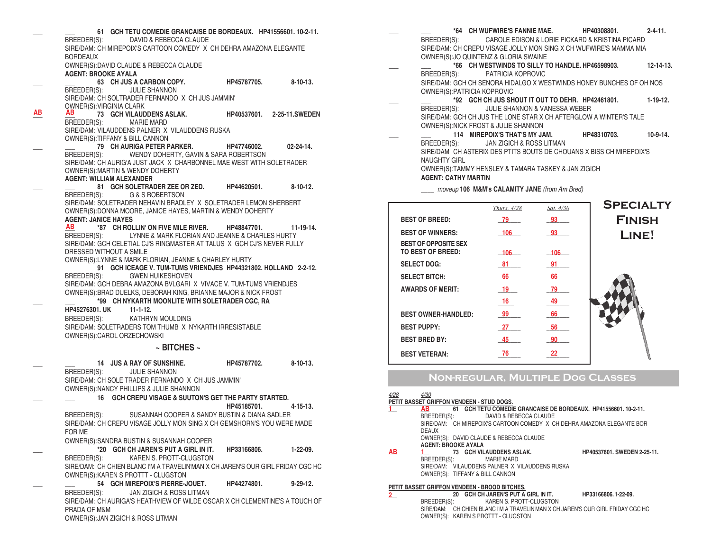**\_\_\_ \_\_\_ 61 GCH TETU COMEDIE GRANCAISE DE BORDEAUX. HP41556601. 10-2-11.** DAVID & REBECCA CLAUDE SIRE/DAM: CH MIREPOIX'S CARTOON COMEDY X CH DEHRA AMAZONA ELEGANTE **BORDEAUX** OWNER(S):DAVID CLAUDE & REBECCA CLAUDE **AGENT: BROOKE AYALA \_\_\_ \_\_\_ 63 CH JUS A CARBON COPY. HP45787705. 8-10-13. JULIE SHANNON** SIRE/DAM: CH SOLTRADER FERNANDO X CH JUS JAMMIN' OWNER(S): VIRGINIA CLARK **AB 73 GCH VILAUDDENS ASLAK. HP40537601.** 2-25-11.SWEDEN<br>RREEDER(S): MARIE MARD **MARIE MARD** SIRE/DAM: VILAUDDENS PALNER X VILAUDDENS RUSKA OWNER(S):TIFFANY & BILL CANNON **\_\_\_ \_\_\_ 79 CH AURIGA PETER PARKER. HP47746002. 02-24-14.**  BREEDER(S): WENDY DOHERTY, GAVIN & SARA ROBERTSON SIRE/DAM: CH AURIG'A JUST JACK X CHARBONNEL MAE WEST WITH SOLETRADER OWNER(S):MARTIN & WENDY DOHERTY **AGENT: WILLIAM ALEXANDER \_\_\_ \_\_\_ 81 GCH SOLETRADER ZEE OR ZED. HP44620501. 8-10-12.** G & S ROBERTSON SIRE/DAM: SOLETRADER NEHAVIN BRADLEY X SOLETRADER LEMON SHERBERT OWNER(S):DONNA MOORE, JANICE HAYES, MARTIN & WENDY DOHERTY **AGENT: JANICE HAYES \_\_\_ \*87 CH ROLLIN' ON FIVE MILE RIVER. HP48847701. 11-19-14.** LYNNE & MARK FLORIAN AND JEANNE & CHARLES HURTY SIRE/DAM: GCH CELETIAL CJ'S RINGMASTER AT TALUS X GCH CJ'S NEVER FULLY DRESSED WITHOUT A SMILE OWNER(S):LYNNE & MARK FLORIAN, JEANNE & CHARLEY HURTY **91 GCH ICEAGE V. TUM-TUMS VRIENDJES HP44321802. HOLLAND 2-2-12.**<br> **BREEDER(S):** GWEN HUIKESHOVEN **GWEN HUIKESHOVEN** SIRE/DAM: GCH DEBRA AMAZONA BVLGARI X VIVACE V. TUM-TUMS VRIENDJES OWNER(S):BRAD DUELKS, DEBORAH KING, BRIANNE MAJOR & NICK FROST **\_\_\_ \_\_\_ \*99 CH NYKARTH MOONLITE WITH SOLETRADER CGC, RA HP45276301. UK 11-1-12.**  BREEDER(S): KATHRYN MOULDING SIRE/DAM: SOLETRADERS TOM THUMB X NYKARTH IRRESISTABLE OWNER(S):CAROL ORZECHOWSKI **~ BITCHES ~ \_\_\_ \_\_\_ 14 JUS A RAY OF SUNSHINE. HP45787702. 8-10-13.** BREEDER(S): JULIE SHANNON SIRE/DAM: CH SOLE TRADER FERNANDO X CH JUS JAMMIN' OWNER(S):NANCY PHILLIPS & JULIE SHANNON **\_\_\_ \_\_\_ 16 GCH CREPU VISAGE & SUUTON'S GET THE PARTY STARTED. HP45185701. 4-15-13.** BREEDER(S): SUSANNAH COOPER & SANDY BUSTIN & DIANA SADLER SIRE/DAM: CH CREPU VISAGE JOLLY MON SING X CH GEMSHORN'S YOU WERE MADE FOR ME OWNER(S):SANDRA BUSTIN & SUSANNAH COOPER **\_\_\_ \*20 GCH CH JAREN'S PUT A GIRL IN IT. HP33166806. 1-22-09.** BREEDER(S): KAREN S. PROTT-CLUGSTON SIRE/DAM: CH CHIEN BLANC I'M A TRAVELIN'MAN X CH JAREN'S OUR GIRL FRIDAY CGC HC OWNER(S):KAREN S PROTTT - CLUGSTON **\_\_\_ \_\_\_ 54 GCH MIREPOIX'S PIERRE-JOUET. HP44274801. 9-29-12.** BREEDER(S): JAN ZIGICH & ROSS LITMAN SIRE/DAM: CH AURIGA'S HEATHVIEW OF WILDE OSCAR X CH CLEMENTINE'S A TOUCH OF PRADA OF M&M OWNER(S):JAN ZIGICH & ROSS LITMAN **AB AB AB**

**\_\_\_ \_\_\_ \*64 CH WUFWIRE'S FANNIE MAE. HP40308801. 2-4-11.**  BREEDER(S): CAROLE EDISON & LORIE PICKARD & KRISTINA PICARD SIRE/DAM: CH CREPU VISAGE JOLLY MON SING X CH WUFWIRE'S MAMMA MIA OWNER(S):JO QUINTENZ & GLORIA SWAINE **\_\_\_ \_\_\_ \*66 CH WESTWINDS TO SILLY TO HANDLE. HP46598903. 12-14-13.** BREEDER(S): PATRICIA KOPROVIC SIRE/DAM: GCH CH SENORA HIDALGO X WESTWINDS HONEY BUNCHES OF OH NOS OWNER(S):PATRICIA KOPROVIC **\_\_\_ \_\_\_ \*92 GCH CH JUS SHOUT IT OUT TO DEHR. HP42461801. 1-19-12.** BREEDER(S): JULIE SHANNON & VANESSA WEBER SIRE/DAM: GCH CH JUS THE LONE STAR X CH AFTERGLOW A WINTER'S TALE OWNER(S):NICK FROST & JULIE SHANNON **\_\_\_ \_\_\_ 114 MIREPOIX'S THAT'S MY JAM. HP48310703. 10-9-14.** BREEDER(S): JAN ZIGICH & ROSS LITMAN SIRE/DAM CH ASTERIX DES PTITS BOUTS DE CHOUANS X BISS CH MIREPOIX'S NAUGHTY GIRL OWNER(S):TAMMY HENSLEY & TAMARA TASKEY & JAN ZIGICH **AGENT: CATHY MARTIN**

*\_\_\_\_ moveup* **106****M&M's CALAMITY JANE** *(from Am Bred)*

|                                                  | Thurs. 4/28     | Sat. 4/30 | <b>SPECIALTY</b> |
|--------------------------------------------------|-----------------|-----------|------------------|
| <b>BEST OF BREED:</b>                            | 79              | 93        | <b>FINISH</b>    |
| <b>BEST OF WINNERS:</b>                          | 106             | 93        | LINE!            |
| <b>BEST OF OPPOSITE SEX</b><br>TO BEST OF BREED: | $-106$          | $-106$    |                  |
| <b>SELECT DOG:</b>                               | - 81            | 91        |                  |
| <b>SELECT BITCH:</b>                             | 66              | 66        |                  |
| <b>AWARDS OF MERIT:</b>                          | 19              | 79        |                  |
|                                                  | 16 <sup>1</sup> | 49        |                  |
| <b>BEST OWNER-HANDLED:</b>                       | 99              | 66        |                  |
| <b>BEST PUPPY:</b>                               | -27             | - 56      |                  |
| <b>BEST BRED BY:</b>                             | 45              | 90        |                  |
| <b>BEST VETERAN:</b>                             | 76              | 22        |                  |

### **Non-regular, Multiple Dog Classes**

| 4/28    | 4/30                                                                            |                             |
|---------|---------------------------------------------------------------------------------|-----------------------------|
|         | PETIT BASSET GRIFFON VENDEEN - STUD DOGS.                                       |                             |
|         | AB 61 GCH TETU COMEDIE GRANCAISE DE BORDEAUX. HP41556601. 10-2-11.              |                             |
|         | BREEDER(S):<br>DAVID & REBECCA CLAUDE                                           |                             |
|         | SIRE/DAM: CH MIREPOIX'S CARTOON COMEDY X CH DEHRA AMAZONA ELEGANTE BOR          |                             |
|         | <b>DEAUX</b>                                                                    |                             |
|         | OWNER(S): DAVID CLAUDE & REBECCA CLAUDE                                         |                             |
|         | <b>AGENT: BROOKE AYALA</b>                                                      |                             |
| AB      | 73 GCH VILAUDDENS ASLAK.                                                        | HP40537601, SWEDEN 2-25-11. |
|         | BREEDER(S): MARIE MARD                                                          |                             |
|         | SIRE/DAM: VILAUDDENS PALNER X VILAUDDENS RUSKA                                  |                             |
|         | OWNER(S): TIFFANY & BILL CANNON                                                 |                             |
|         |                                                                                 |                             |
|         | PETIT BASSET GRIFFON VENDEEN - BROOD BITCHES.                                   |                             |
| $^{2-}$ | 20 GCH CH JAREN'S PUT A GIRL IN IT.                                             | HP33166806.1-22-09.         |
|         | BREEDER(S):<br>KAREN S. PROTT-CLUGSTON                                          |                             |
|         | SIRE/DAM: CH CHIEN BLANC I'M A TRAVELIN'MAN X CH JAREN'S OUR GIRL FRIDAY CGC HC |                             |
|         | OWNER(S): KAREN S PROTTT - CLUGSTON                                             |                             |